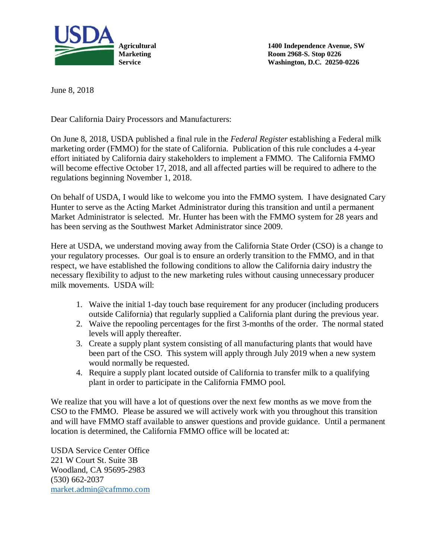

**Agricultural 1400 Independence Avenue, SW Marketing Room 2968-S. Stop 0226 Service Washington, D.C. 20250-0226**

June 8, 2018

Dear California Dairy Processors and Manufacturers:

On June 8, 2018, USDA published a final rule in the *Federal Register* establishing a Federal milk marketing order (FMMO) for the state of California. Publication of this rule concludes a 4-year effort initiated by California dairy stakeholders to implement a FMMO. The California FMMO will become effective October 17, 2018, and all affected parties will be required to adhere to the regulations beginning November 1, 2018.

On behalf of USDA, I would like to welcome you into the FMMO system. I have designated Cary Hunter to serve as the Acting Market Administrator during this transition and until a permanent Market Administrator is selected. Mr. Hunter has been with the FMMO system for 28 years and has been serving as the Southwest Market Administrator since 2009.

Here at USDA, we understand moving away from the California State Order (CSO) is a change to your regulatory processes. Our goal is to ensure an orderly transition to the FMMO, and in that respect, we have established the following conditions to allow the California dairy industry the necessary flexibility to adjust to the new marketing rules without causing unnecessary producer milk movements. USDA will:

- 1. Waive the initial 1-day touch base requirement for any producer (including producers outside California) that regularly supplied a California plant during the previous year.
- 2. Waive the repooling percentages for the first 3-months of the order. The normal stated levels will apply thereafter.
- 3. Create a supply plant system consisting of all manufacturing plants that would have been part of the CSO. This system will apply through July 2019 when a new system would normally be requested.
- 4. Require a supply plant located outside of California to transfer milk to a qualifying plant in order to participate in the California FMMO pool.

We realize that you will have a lot of questions over the next few months as we move from the CSO to the FMMO. Please be assured we will actively work with you throughout this transition and will have FMMO staff available to answer questions and provide guidance. Until a permanent location is determined, the California FMMO office will be located at:

USDA Service Center Office 221 W Court St. Suite 3B Woodland, CA 95695-2983 (530) 662-2037 [market.admin@cafmmo.com](mailto:market.admin@cafmmo.com)